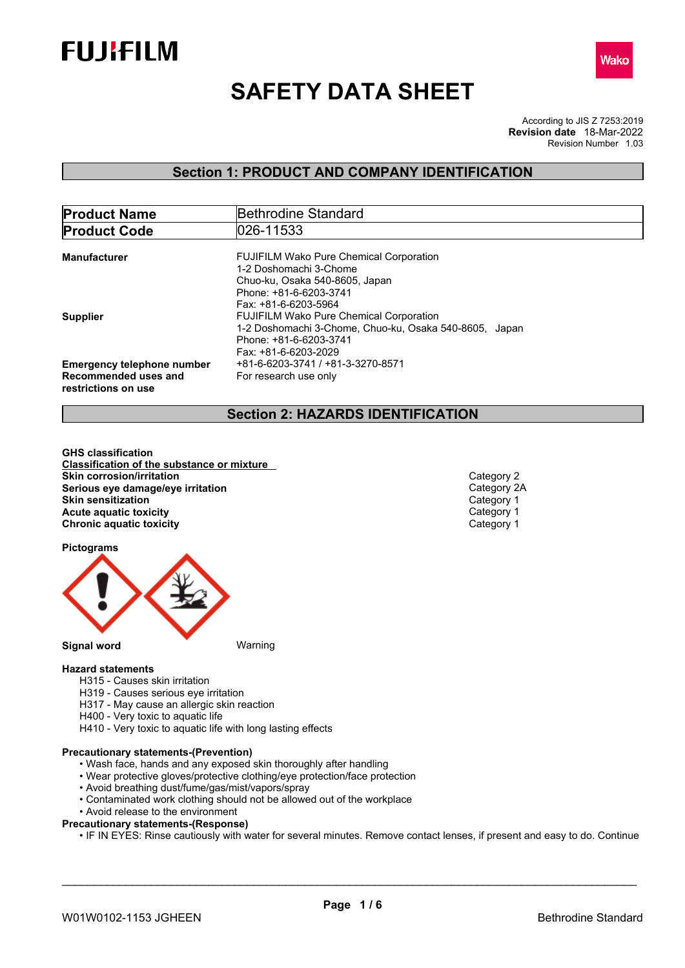



# **SAFETY DATA SHEET**

According to JIS Z 7253:2019 Revision Number 1.03 **Revision date** 18-Mar-2022

## **Section 1: PRODUCT AND COMPANY IDENTIFICATION**

| <b>Product Name</b>                         | Bethrodine Standard                                    |  |  |
|---------------------------------------------|--------------------------------------------------------|--|--|
| <b>Product Code</b>                         | 026-11533                                              |  |  |
| <b>Manufacturer</b>                         | <b>FUJIFILM Wako Pure Chemical Corporation</b>         |  |  |
|                                             | 1-2 Doshomachi 3-Chome                                 |  |  |
|                                             | Chuo-ku, Osaka 540-8605, Japan                         |  |  |
|                                             | Phone: +81-6-6203-3741                                 |  |  |
|                                             | Fax: +81-6-6203-5964                                   |  |  |
| <b>Supplier</b>                             | <b>FUJIFILM Wako Pure Chemical Corporation</b>         |  |  |
|                                             | 1-2 Doshomachi 3-Chome, Chuo-ku, Osaka 540-8605, Japan |  |  |
|                                             | Phone: +81-6-6203-3741                                 |  |  |
|                                             | Fax: +81-6-6203-2029                                   |  |  |
| <b>Emergency telephone number</b>           | +81-6-6203-3741 / +81-3-3270-8571                      |  |  |
| Recommended uses and<br>restrictions on use | For research use only                                  |  |  |

## **Section 2: HAZARDS IDENTIFICATION**

**GHS classification Classification of the substance or mixture Skin corrosion/irritation**<br> **Serious eve damage/eve irritation**<br>
Category 2A **Serious eye damage/eye irritation**<br> **Skin sensitization**<br>
Category 1 **Skin sensitization Acute** aquatic toxicity<br> **Category 1** Chronic aquatic toxicity<br>
Category 1 **Chronic aquatic toxicity** 

**Pictograms**



## **Hazard statements**

- H315 Causes skin irritation
- H319 Causes serious eye irritation
- H317 May cause an allergic skin reaction
- H400 Very toxic to aquatic life
- H410 Very toxic to aquatic life with long lasting effects

### **Precautionary statements-(Prevention)**

- Wash face, hands and any exposed skin thoroughly after handling
- Wear protective gloves/protective clothing/eye protection/face protection
- Avoid breathing dust/fume/gas/mist/vapors/spray
- Contaminated work clothing should not be allowed out of the workplace
- Avoid release to the environment
- **Precautionary statements-(Response)**
	- IF IN EYES: Rinse cautiously with water for several minutes. Remove contact lenses, if present and easy to do. Continue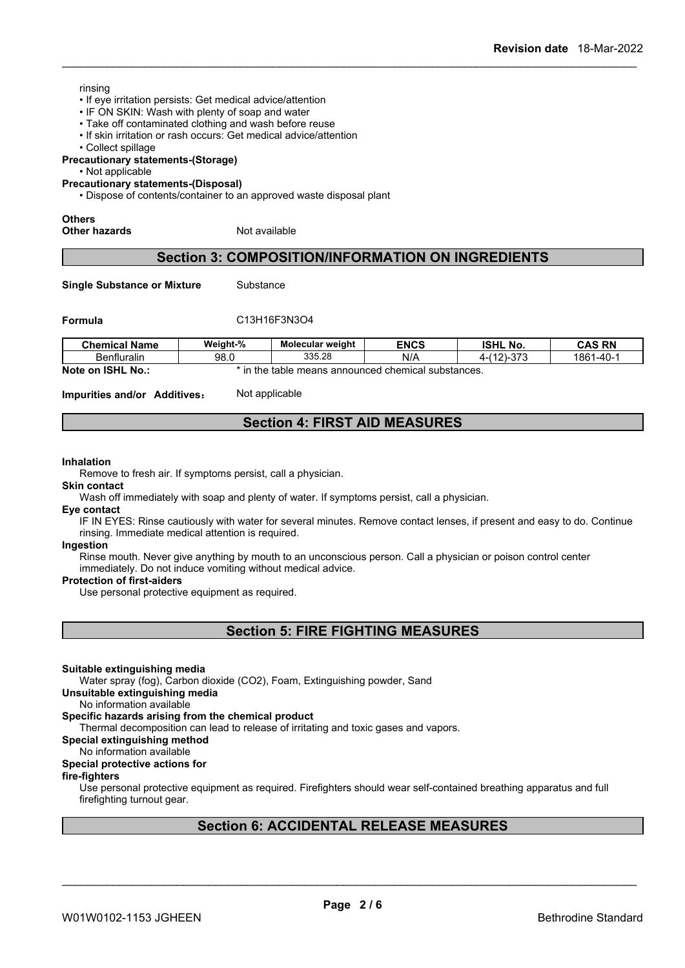## rinsing

- If eye irritation persists: Get medical advice/attention
- IF ON SKIN: Wash with plenty of soap and water
- Take off contaminated clothing and wash before reuse
- If skin irritation or rash occurs: Get medical advice/attention
- Collect spillage

**Precautionary statements-(Storage)**

• Not applicable

**Precautionary statements-(Disposal)**

• Dispose of contents/container to an approved waste disposal plant

# **Others**

**Other hazards** Not available

## **Section 3: COMPOSITION/INFORMATION ON INGREDIENTS**

**Single Substance or Mixture** Substance

## **Formula** C13H16F3N3O4

| <b>Chemical Name</b>                     | Weight-% | <b>Molecular weight</b> | <b>ENCS</b>                      | <b>ISHL No.</b>         | <b>CAS RN</b>  |
|------------------------------------------|----------|-------------------------|----------------------------------|-------------------------|----------------|
| Benfluralin                              | 98.0     | 335.28                  | N/A                              | 0.70<br>(40)<br>… ו ט−י | 1861<br>$-40-$ |
| <b>Note</b><br><b>ISHL</b><br>No<br>. on | the      | table<br>means          | ; announced chemical substances. |                         |                |

**Impurities and/or Additives:** Not applicable

## **Section 4: FIRST AID MEASURES**

#### **Inhalation**

Remove to fresh air. If symptoms persist, call a physician.

#### **Skin contact**

Wash off immediately with soap and plenty of water. If symptoms persist, call a physician.

## **Eye contact**

IF IN EYES: Rinse cautiously with water for several minutes. Remove contact lenses, if present and easy to do. Continue rinsing. Immediate medical attention is required.

#### **Ingestion**

Rinse mouth. Never give anything by mouth to an unconscious person. Call a physician or poison control center immediately. Do not induce vomiting without medical advice.

### **Protection of first-aiders**

Use personal protective equipment as required.

**Section 5: FIRE FIGHTING MEASURES**

### **Suitable extinguishing media**

Water spray (fog), Carbon dioxide (CO2), Foam, Extinguishing powder, Sand

**Unsuitable extinguishing media**

No information available

## **Specific hazards arising from the chemical product**

Thermal decomposition can lead to release of irritating and toxic gases and vapors.

## **Special extinguishing method**

No information available

## **Special protective actions for**

## **fire-fighters**

Use personal protective equipment as required.Firefighters should wear self-contained breathing apparatus and full firefighting turnout gear.

## **Section 6: ACCIDENTAL RELEASE MEASURES**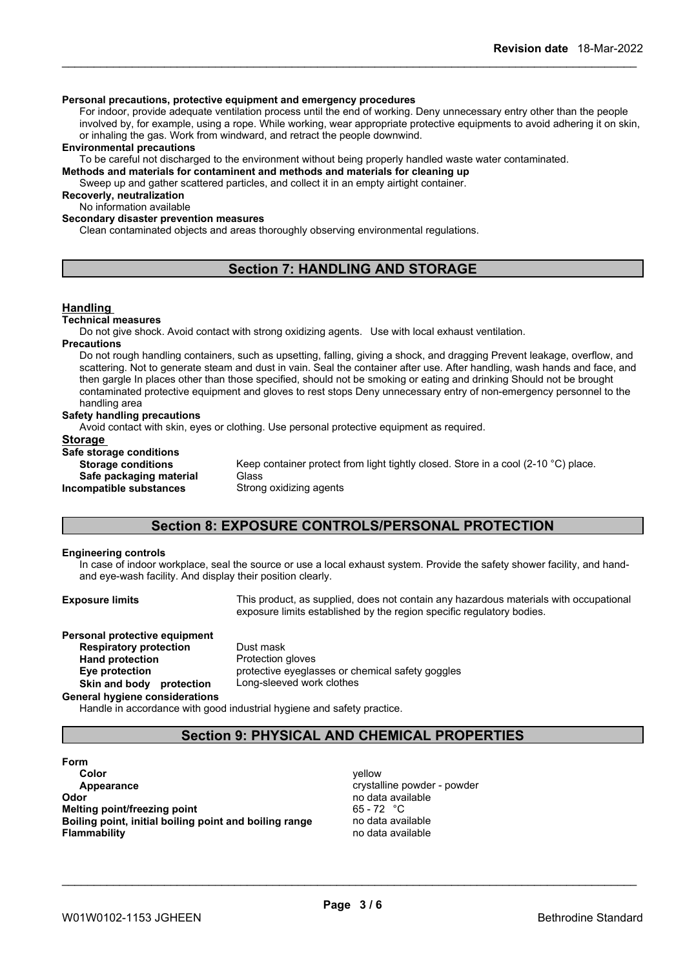## **Personal precautions, protective equipment and emergency procedures**

For indoor, provide adequate ventilation process until the end of working. Deny unnecessary entry other than the people involved by, for example, using a rope. While working, wear appropriate protective equipments to avoid adhering it on skin, or inhaling the gas. Work from windward, and retract the people downwind.

#### **Environmental precautions**

To be careful not discharged to the environment without being properly handled waste water contaminated.

**Methods and materials for contaminent and methods and materials for cleaning up**

Sweep up and gather scattered particles, and collect it in an empty airtight container.

## **Recoverly, neutralization**

No information available

**Secondary disaster prevention measures**

Clean contaminated objects and areas thoroughly observing environmental regulations.

## **Section 7: HANDLING AND STORAGE**

### **Handling**

#### **Technical measures**

Do not give shock. Avoid contact with strong oxidizing agents. Use with local exhaust ventilation.

#### **Precautions**

Do not rough handling containers, such as upsetting, falling, giving a shock, and dragging Prevent leakage, overflow, and scattering. Not to generate steam and dust in vain. Seal the container after use. After handling, wash hands and face, and then gargle In places other than those specified, should not be smoking or eating and drinking Should not be brought contaminated protective equipment and gloves to rest stops Deny unnecessary entry of non-emergency personnel to the handling area

#### **Safety handling precautions**

Avoid contact with skin, eyes or clothing. Use personal protective equipment as required.

# **Storage**<br>Sefe atomage conditions

| Safe storage conditions   |                                                                                    |
|---------------------------|------------------------------------------------------------------------------------|
| <b>Storage conditions</b> | Keep container protect from light tightly closed. Store in a cool (2-10 °C) place. |
| Safe packaging material   | Glass                                                                              |
| Incompatible substances   | Strong oxidizing agents                                                            |
|                           |                                                                                    |

## **Section 8: EXPOSURE CONTROLS/PERSONAL PROTECTION**

### **Engineering controls**

In case of indoor workplace, seal the source or use a local exhaust system. Provide the safety shower facility, and handand eye-wash facility. And display their position clearly.

**Exposure limits** This product, as supplied, does not contain any hazardous materials with occupational exposure limits established by the region specific regulatory bodies.

#### **Personal protective equipment Respiratory protection** Dust mask

**Hand protection** Protection gloves **Eye protection** protective eyeglasses or chemical safety goggles **Skin and body protection** Long-sleeved work clothes

**General hygiene considerations**

Handle in accordance with good industrial hygiene and safety practice.

## **Section 9: PHYSICAL AND CHEMICAL PROPERTIES**

**Form Color** yellow **Appearance crystalline powder - powder Odor** no data available **Melting point/freezing point** 65 - 72 °C **Boiling point, initial boiling point and boiling range** no data available **Flammability** no data available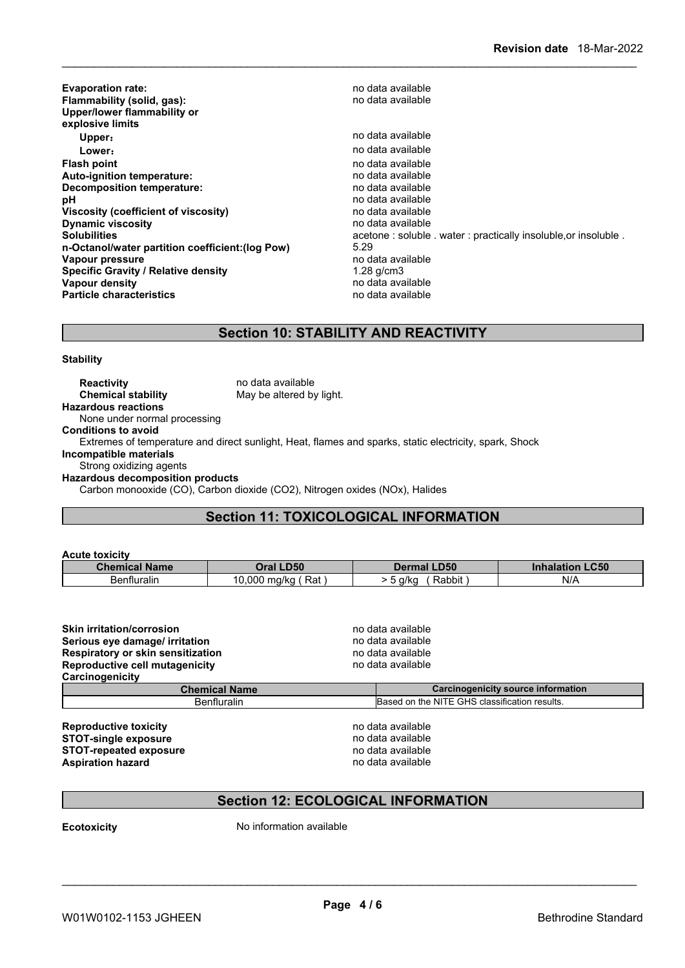| no data available<br>Upper:<br>no data available<br>Lower:<br>no data available<br>no data available<br>no data available<br>no data available<br>no data available<br>no data available<br>acetone: soluble . water: practically insoluble, or insoluble.<br>5.29<br>no data available<br>1.28 g/cm3<br>no data available<br>no data available | <b>Evaporation rate:</b><br>Flammability (solid, gas):<br>Upper/lower flammability or<br>explosive limits | no data available<br>no data available |
|-------------------------------------------------------------------------------------------------------------------------------------------------------------------------------------------------------------------------------------------------------------------------------------------------------------------------------------------------|-----------------------------------------------------------------------------------------------------------|----------------------------------------|
|                                                                                                                                                                                                                                                                                                                                                 |                                                                                                           |                                        |
|                                                                                                                                                                                                                                                                                                                                                 |                                                                                                           |                                        |
|                                                                                                                                                                                                                                                                                                                                                 | <b>Flash point</b>                                                                                        |                                        |
|                                                                                                                                                                                                                                                                                                                                                 | Auto-ignition temperature:                                                                                |                                        |
|                                                                                                                                                                                                                                                                                                                                                 | Decomposition temperature:                                                                                |                                        |
|                                                                                                                                                                                                                                                                                                                                                 | рH                                                                                                        |                                        |
|                                                                                                                                                                                                                                                                                                                                                 | Viscosity (coefficient of viscosity)                                                                      |                                        |
|                                                                                                                                                                                                                                                                                                                                                 | <b>Dynamic viscosity</b>                                                                                  |                                        |
|                                                                                                                                                                                                                                                                                                                                                 | <b>Solubilities</b>                                                                                       |                                        |
|                                                                                                                                                                                                                                                                                                                                                 | n-Octanol/water partition coefficient: (log Pow)                                                          |                                        |
|                                                                                                                                                                                                                                                                                                                                                 | Vapour pressure                                                                                           |                                        |
|                                                                                                                                                                                                                                                                                                                                                 | <b>Specific Gravity / Relative density</b>                                                                |                                        |
|                                                                                                                                                                                                                                                                                                                                                 | Vapour density                                                                                            |                                        |
|                                                                                                                                                                                                                                                                                                                                                 | <b>Particle characteristics</b>                                                                           |                                        |

## **Section 10: STABILITY AND REACTIVITY**

**Stability**

| <b>Reactivity</b>                       | no data available                                                                                      |
|-----------------------------------------|--------------------------------------------------------------------------------------------------------|
| <b>Chemical stability</b>               | May be altered by light.                                                                               |
| <b>Hazardous reactions</b>              |                                                                                                        |
| None under normal processing            |                                                                                                        |
| <b>Conditions to avoid</b>              |                                                                                                        |
|                                         | Extremes of temperature and direct sunlight, Heat, flames and sparks, static electricity, spark, Shock |
| Incompatible materials                  |                                                                                                        |
| Strong oxidizing agents                 |                                                                                                        |
| <b>Hazardous decomposition products</b> |                                                                                                        |
|                                         | Carbon monooxide (CO), Carbon dioxide (CO2), Nitrogen oxides (NOx), Halides                            |
|                                         |                                                                                                        |

## **Section 11: TOXICOLOGICAL INFORMATION**

| <b>Inhalation LC50</b><br><b>Oral LD50</b><br><b>Chemical Name</b><br><b>Dermal LD50</b> |
|------------------------------------------------------------------------------------------|
| N/A<br><b>Benfluralin</b><br>Rat,<br>Rabbit<br>10.000<br>′ 0.000 ma/ka.<br>5 g/kg        |

| <b>Skin irritation/corrosion</b><br>Serious eye damage/ irritation | no data available<br>no data available        |  |  |
|--------------------------------------------------------------------|-----------------------------------------------|--|--|
| Respiratory or skin sensitization                                  | no data available<br>no data available        |  |  |
| Reproductive cell mutagenicity                                     |                                               |  |  |
| Carcinogenicity                                                    |                                               |  |  |
| <b>Chemical Name</b>                                               | <b>Carcinogenicity source information</b>     |  |  |
| <b>Benfluralin</b>                                                 | Based on the NITE GHS classification results. |  |  |
| <b>Reproductive toxicity</b>                                       | no data available                             |  |  |

| Reproductive toxicity         |
|-------------------------------|
| <b>STOT-single exposure</b>   |
| <b>STOT-repeated exposure</b> |
| <b>Aspiration hazard</b>      |

**STOT-repeated exposure** no data available **Aspiration hazard** no data available

\_\_\_\_\_\_\_\_\_\_\_\_\_\_\_\_\_\_\_\_\_\_\_\_\_\_\_\_\_\_\_\_\_\_\_\_\_\_\_\_\_\_\_\_\_\_\_\_\_\_\_\_\_\_\_\_\_\_\_\_\_\_\_\_\_\_\_\_\_\_\_\_\_\_\_\_\_\_\_\_\_\_\_\_\_\_\_\_\_\_

## **Section 12: ECOLOGICAL INFORMATION**

**Ecotoxicity** No information available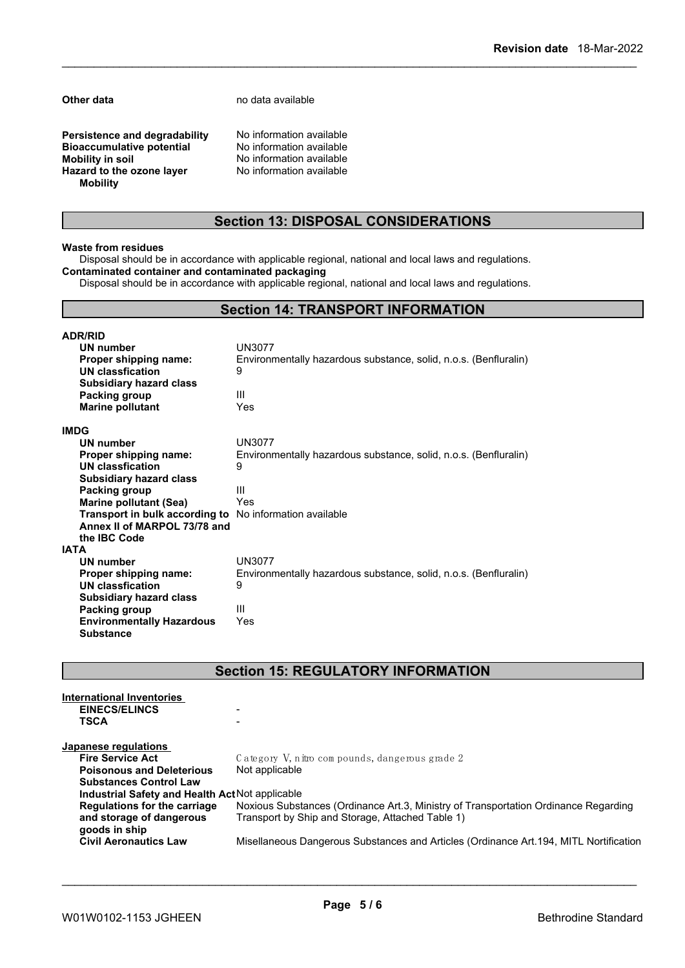**Other data** no data available

**Persistence and degradability** No information available<br>**Bioaccumulative potential** No information available **Bioaccumulative potential<br>Mobility in soil Hazard** to the ozone layer **Mobility**

No information available<br>No information available

## **Section 13: DISPOSAL CONSIDERATIONS**

#### **Waste from residues**

Disposal should be in accordance with applicable regional, national and local laws and regulations. **Contaminated container and contaminated packaging**

Disposal should be in accordance with applicable regional, national and local laws and regulations.

## **Section 14: TRANSPORT INFORMATION**

| <b>ADR/RID</b>                   |                                                                  |
|----------------------------------|------------------------------------------------------------------|
| <b>UN number</b>                 | UN3077                                                           |
| Proper shipping name:            | Environmentally hazardous substance, solid, n.o.s. (Benfluralin) |
| UN classfication                 | 9                                                                |
| <b>Subsidiary hazard class</b>   |                                                                  |
| Packing group                    | Ш                                                                |
| <b>Marine pollutant</b>          | Yes                                                              |
| IMDG                             |                                                                  |
| <b>UN number</b>                 | UN3077                                                           |
| Proper shipping name:            | Environmentally hazardous substance, solid, n.o.s. (Benfluralin) |
| UN classfication                 | 9                                                                |
| <b>Subsidiary hazard class</b>   |                                                                  |
| Packing group                    | Ш                                                                |
| <b>Marine pollutant (Sea)</b>    | Yes                                                              |
| Transport in bulk according to   | No information available                                         |
| Annex II of MARPOL 73/78 and     |                                                                  |
| the IBC Code                     |                                                                  |
| IATA                             |                                                                  |
| UN number                        | UN3077                                                           |
| Proper shipping name:            | Environmentally hazardous substance, solid, n.o.s. (Benfluralin) |
| UN classfication                 | 9                                                                |
| <b>Subsidiary hazard class</b>   |                                                                  |
| Packing group                    | Ш                                                                |
| <b>Environmentally Hazardous</b> | Yes                                                              |
| <b>Substance</b>                 |                                                                  |

**Section 15: REGULATORY INFORMATION**

| International Inventories                       |                                                                                       |
|-------------------------------------------------|---------------------------------------------------------------------------------------|
| <b>EINECS/ELINCS</b>                            |                                                                                       |
| <b>TSCA</b>                                     | $\overline{\phantom{0}}$                                                              |
| Japanese regulations                            |                                                                                       |
| <b>Fire Service Act</b>                         | Category V, nitro compounds, dangerous grade 2                                        |
| <b>Poisonous and Deleterious</b>                | Not applicable                                                                        |
| <b>Substances Control Law</b>                   |                                                                                       |
| Industrial Safety and Health Act Not applicable |                                                                                       |
| Regulations for the carriage                    | Noxious Substances (Ordinance Art.3, Ministry of Transportation Ordinance Regarding   |
| and storage of dangerous                        | Transport by Ship and Storage, Attached Table 1)                                      |
| goods in ship                                   |                                                                                       |
| <b>Civil Aeronautics Law</b>                    | Misellaneous Dangerous Substances and Articles (Ordinance Art.194, MITL Nortification |
|                                                 |                                                                                       |